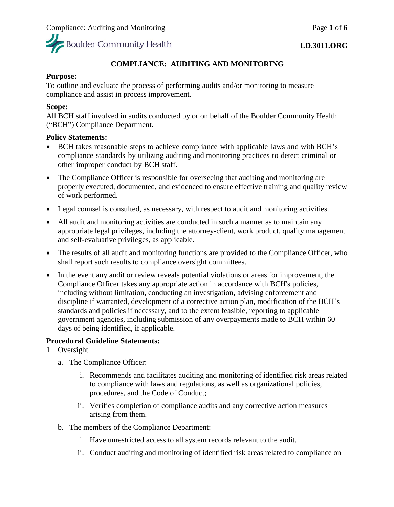

### **LD.3011.ORG**

# **COMPLIANCE: AUDITING AND MONITORING**

# **Purpose:**

To outline and evaluate the process of performing audits and/or monitoring to measure compliance and assist in process improvement.

# **Scope:**

All BCH staff involved in audits conducted by or on behalf of the Boulder Community Health ("BCH") Compliance Department.

### **Policy Statements:**

- BCH takes reasonable steps to achieve compliance with applicable laws and with BCH's compliance standards by utilizing auditing and monitoring practices to detect criminal or other improper conduct by BCH staff.
- The Compliance Officer is responsible for overseeing that auditing and monitoring are properly executed, documented, and evidenced to ensure effective training and quality review of work performed.
- Legal counsel is consulted, as necessary, with respect to audit and monitoring activities.
- All audit and monitoring activities are conducted in such a manner as to maintain any appropriate legal privileges, including the attorney-client, work product, quality management and self-evaluative privileges, as applicable.
- The results of all audit and monitoring functions are provided to the Compliance Officer, who shall report such results to compliance oversight committees.
- In the event any audit or review reveals potential violations or areas for improvement, the Compliance Officer takes any appropriate action in accordance with BCH's policies, including without limitation, conducting an investigation, advising enforcement and discipline if warranted, development of a corrective action plan, modification of the BCH's standards and policies if necessary, and to the extent feasible, reporting to applicable government agencies, including submission of any overpayments made to BCH within 60 days of being identified, if applicable.

# **Procedural Guideline Statements:**

- 1. Oversight
	- a. The Compliance Officer:
		- i. Recommends and facilitates auditing and monitoring of identified risk areas related to compliance with laws and regulations, as well as organizational policies, procedures, and the Code of Conduct;
		- ii. Verifies completion of compliance audits and any corrective action measures arising from them.
	- b. The members of the Compliance Department:
		- i. Have unrestricted access to all system records relevant to the audit.
		- ii. Conduct auditing and monitoring of identified risk areas related to compliance on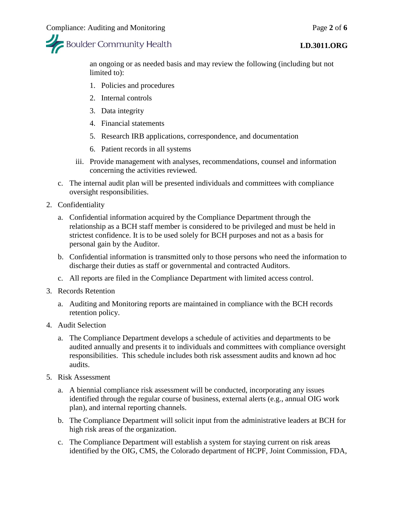

an ongoing or as needed basis and may review the following (including but not limited to):

- 1. Policies and procedures
- 2. Internal controls
- 3. Data integrity
- 4. Financial statements
- 5. Research IRB applications, correspondence, and documentation
- 6. Patient records in all systems
- iii. Provide management with analyses, recommendations, counsel and information concerning the activities reviewed.
- c. The internal audit plan will be presented individuals and committees with compliance oversight responsibilities.
- 2. Confidentiality
	- a. Confidential information acquired by the Compliance Department through the relationship as a BCH staff member is considered to be privileged and must be held in strictest confidence. It is to be used solely for BCH purposes and not as a basis for personal gain by the Auditor.
	- b. Confidential information is transmitted only to those persons who need the information to discharge their duties as staff or governmental and contracted Auditors.
	- c. All reports are filed in the Compliance Department with limited access control.
- 3. Records Retention
	- a. Auditing and Monitoring reports are maintained in compliance with the BCH records retention policy.
- 4. Audit Selection
	- a. The Compliance Department develops a schedule of activities and departments to be audited annually and presents it to individuals and committees with compliance oversight responsibilities. This schedule includes both risk assessment audits and known ad hoc audits.
- 5. Risk Assessment
	- a. A biennial compliance risk assessment will be conducted, incorporating any issues identified through the regular course of business, external alerts (e.g., annual OIG work plan), and internal reporting channels.
	- b. The Compliance Department will solicit input from the administrative leaders at BCH for high risk areas of the organization.
	- c. The Compliance Department will establish a system for staying current on risk areas identified by the OIG, CMS, the Colorado department of HCPF, Joint Commission, FDA,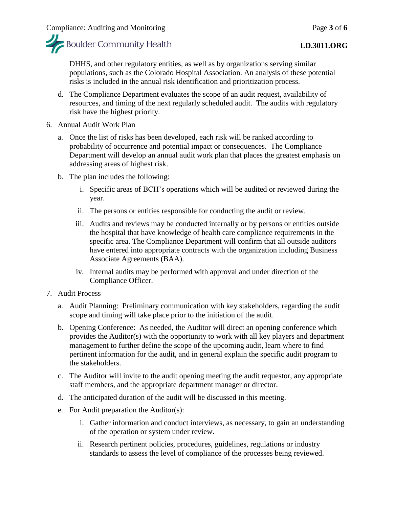

### **LD.3011.ORG**

DHHS, and other regulatory entities, as well as by organizations serving similar populations, such as the Colorado Hospital Association. An analysis of these potential risks is included in the annual risk identification and prioritization process.

- d. The Compliance Department evaluates the scope of an audit request, availability of resources, and timing of the next regularly scheduled audit. The audits with regulatory risk have the highest priority.
- 6. Annual Audit Work Plan
	- a. Once the list of risks has been developed, each risk will be ranked according to probability of occurrence and potential impact or consequences. The Compliance Department will develop an annual audit work plan that places the greatest emphasis on addressing areas of highest risk.
	- b. The plan includes the following:
		- i. Specific areas of BCH's operations which will be audited or reviewed during the year.
		- ii. The persons or entities responsible for conducting the audit or review.
		- iii. Audits and reviews may be conducted internally or by persons or entities outside the hospital that have knowledge of health care compliance requirements in the specific area. The Compliance Department will confirm that all outside auditors have entered into appropriate contracts with the organization including Business Associate Agreements (BAA).
		- iv. Internal audits may be performed with approval and under direction of the Compliance Officer.
- 7. Audit Process
	- a. Audit Planning: Preliminary communication with key stakeholders, regarding the audit scope and timing will take place prior to the initiation of the audit.
	- b. Opening Conference: As needed, the Auditor will direct an opening conference which provides the Auditor(s) with the opportunity to work with all key players and department management to further define the scope of the upcoming audit, learn where to find pertinent information for the audit, and in general explain the specific audit program to the stakeholders.
	- c. The Auditor will invite to the audit opening meeting the audit requestor, any appropriate staff members, and the appropriate department manager or director.
	- d. The anticipated duration of the audit will be discussed in this meeting.
	- e. For Audit preparation the Auditor(s):
		- i. Gather information and conduct interviews, as necessary, to gain an understanding of the operation or system under review.
		- ii. Research pertinent policies, procedures, guidelines, regulations or industry standards to assess the level of compliance of the processes being reviewed.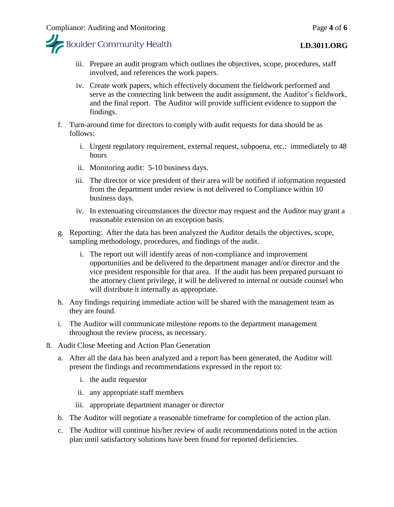



- iii. Prepare an audit program which outlines the objectives, scope, procedures, staff involved, and references the work papers.
- iv. Create work papers, which effectively document the fieldwork performed and serve as the connecting link between the audit assignment, the Auditor's fieldwork, and the final report. The Auditor will provide sufficient evidence to support the findings.
- f. Turn-around time for directors to comply with audit requests for data should be as follows:
	- i. Urgent regulatory requirement, external request, subpoena, etc.: immediately to 48 hours
	- ii. Monitoring audit: 5-10 business days.
	- iii. The director or vice president of their area will be notified if information requested from the department under review is not delivered to Compliance within 10 business days.
	- iv. In extenuating circumstances the director may request and the Auditor may grant a reasonable extension on an exception basis.
- g. Reporting: After the data has been analyzed the Auditor details the objectives, scope, sampling methodology, procedures, and findings of the audit.
	- i. The report out will identify areas of non-compliance and improvement opportunities and be delivered to the department manager and/or director and the vice president responsible for that area. If the audit has been prepared pursuant to the attorney client privilege, it will be delivered to internal or outside counsel who will distribute it internally as appropriate.
- h. Any findings requiring immediate action will be shared with the management team as they are found.
- i. The Auditor will communicate milestone reports to the department management throughout the review process, as necessary.
- 8. Audit Close Meeting and Action Plan Generation
	- a. After all the data has been analyzed and a report has been generated, the Auditor will present the findings and recommendations expressed in the report to:
		- i. the audit requestor
		- ii. any appropriate staff members
		- iii. appropriate department manager or director
	- b. The Auditor will negotiate a reasonable timeframe for completion of the action plan.
	- c. The Auditor will continue his/her review of audit recommendations noted in the action plan until satisfactory solutions have been found for reported deficiencies.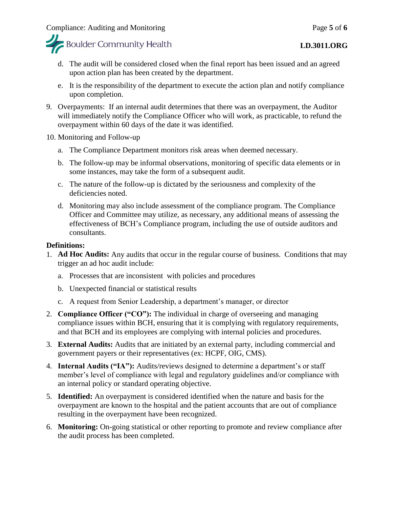

- d. The audit will be considered closed when the final report has been issued and an agreed upon action plan has been created by the department.
- e. It is the responsibility of the department to execute the action plan and notify compliance upon completion.
- 9. Overpayments: If an internal audit determines that there was an overpayment, the Auditor will immediately notify the Compliance Officer who will work, as practicable, to refund the overpayment within 60 days of the date it was identified.
- 10. Monitoring and Follow-up
	- a. The Compliance Department monitors risk areas when deemed necessary.
	- b. The follow-up may be informal observations, monitoring of specific data elements or in some instances, may take the form of a subsequent audit.
	- c. The nature of the follow-up is dictated by the seriousness and complexity of the deficiencies noted.
	- d. Monitoring may also include assessment of the compliance program. The Compliance Officer and Committee may utilize, as necessary, any additional means of assessing the effectiveness of BCH's Compliance program, including the use of outside auditors and consultants.

### **Definitions:**

- 1. **Ad Hoc Audits:** Any audits that occur in the regular course of business. Conditions that may trigger an ad hoc audit include:
	- a. Processes that are inconsistent with policies and procedures
	- b. Unexpected financial or statistical results
	- c. A request from Senior Leadership, a department's manager, or director
- 2. **Compliance Officer ("CO"):** The individual in charge of overseeing and managing compliance issues within BCH, ensuring that it is complying with regulatory requirements, and that BCH and its employees are complying with internal policies and procedures.
- 3. **External Audits:** Audits that are initiated by an external party, including commercial and government payers or their representatives (ex: HCPF, OIG, CMS).
- 4. **Internal Audits ("IA"):** Audits/reviews designed to determine a department's or staff member's level of compliance with legal and regulatory guidelines and/or compliance with an internal policy or standard operating objective.
- 5. **Identified:** An overpayment is considered identified when the nature and basis for the overpayment are known to the hospital and the patient accounts that are out of compliance resulting in the overpayment have been recognized.
- 6. **Monitoring:** On-going statistical or other reporting to promote and review compliance after the audit process has been completed.